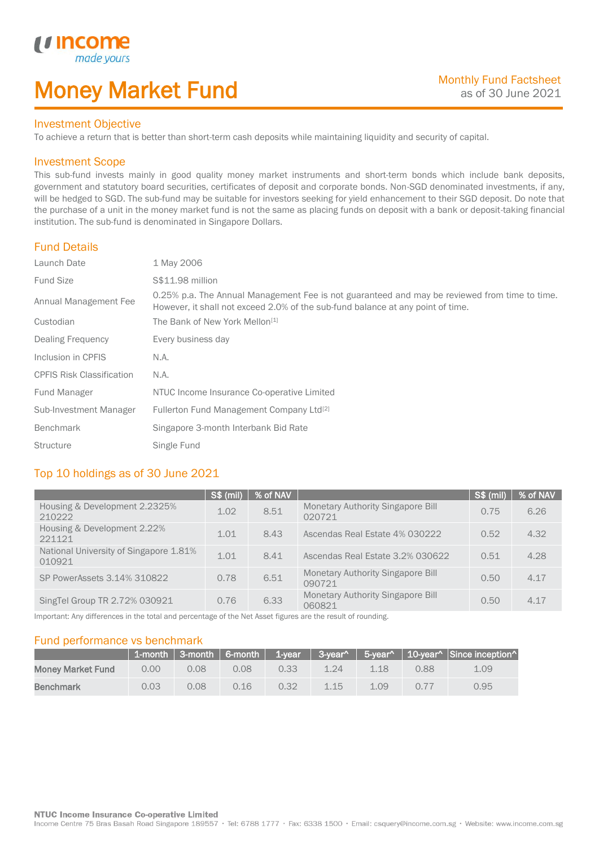# Money Market Fund

#### Investment Objective

made yo

*u* incom

I

To achieve a return that is better than short-term cash deposits while maintaining liquidity and security of capital.

#### Investment Scope

This sub-fund invests mainly in good quality money market instruments and short-term bonds which include bank deposits, government and statutory board securities, certificates of deposit and corporate bonds. Non-SGD denominated investments, if any, will be hedged to SGD. The sub-fund may be suitable for investors seeking for yield enhancement to their SGD deposit. Do note that the purchase of a unit in the money market fund is not the same as placing funds on deposit with a bank or deposit-taking financial institution. The sub-fund is denominated in Singapore Dollars.

## Fund Details

| Launch Date                      | 1 May 2006                                                                                                                                                                       |
|----------------------------------|----------------------------------------------------------------------------------------------------------------------------------------------------------------------------------|
| <b>Fund Size</b>                 | S\$11.98 million                                                                                                                                                                 |
| Annual Management Fee            | 0.25% p.a. The Annual Management Fee is not guaranteed and may be reviewed from time to time.<br>However, it shall not exceed 2.0% of the sub-fund balance at any point of time. |
| Custodian                        | The Bank of New York Mellon <sup>[1]</sup>                                                                                                                                       |
| Dealing Frequency                | Every business day                                                                                                                                                               |
| Inclusion in CPFIS               | N.A.                                                                                                                                                                             |
| <b>CPFIS Risk Classification</b> | N.A.                                                                                                                                                                             |
| Fund Manager                     | NTUC Income Insurance Co-operative Limited                                                                                                                                       |
| Sub-Investment Manager           | Fullerton Fund Management Company Ltd <sup>[2]</sup>                                                                                                                             |
| <b>Benchmark</b>                 | Singapore 3-month Interbank Bid Rate                                                                                                                                             |
| <b>Structure</b>                 | Single Fund                                                                                                                                                                      |

# Top 10 holdings as of 30 June 2021

|                                                  | <b>S\$ (mil)</b> | % of NAV |                                                    | <b>S\$ (mil)</b> | % of NAV |
|--------------------------------------------------|------------------|----------|----------------------------------------------------|------------------|----------|
| Housing & Development 2.2325%<br>210222          | 1.02             | 8.51     | <b>Monetary Authority Singapore Bill</b><br>020721 | 0.75             | 6.26     |
| Housing & Development 2.22%<br>221121            | 1.01             | 8.43     | Ascendas Real Estate 4% 030222                     | 0.52             | 4.32     |
| National University of Singapore 1.81%<br>010921 | 1.01             | 8.41     | Ascendas Real Estate 3.2% 030622                   | 0.51             | 4.28     |
| SP PowerAssets 3.14% 310822                      | 0.78             | 6.51     | <b>Monetary Authority Singapore Bill</b><br>090721 | 0.50             | 4.17     |
| SingTel Group TR 2.72% 030921                    | 0.76             | 6.33     | <b>Monetary Authority Singapore Bill</b><br>060821 | 0.50             | 4.17     |

Important: Any differences in the total and percentage of the Net Asset figures are the result of rounding.

#### Fund performance vs benchmark

|                          |      |      |      |      |      |      |      | 1-month 3-month 6-month 1-year 3-year^ 5-year^ 10-year^ Since inception |
|--------------------------|------|------|------|------|------|------|------|-------------------------------------------------------------------------|
| <b>Money Market Fund</b> | 0.00 | 0.08 | 0.08 | 0.33 | 1.24 | 118  | 0.88 | 1.09                                                                    |
| <b>Benchmark</b>         | 0.03 | 2.08 | 0.16 | 0.32 | 1.15 | 1.09 | 0.77 | 0.95                                                                    |